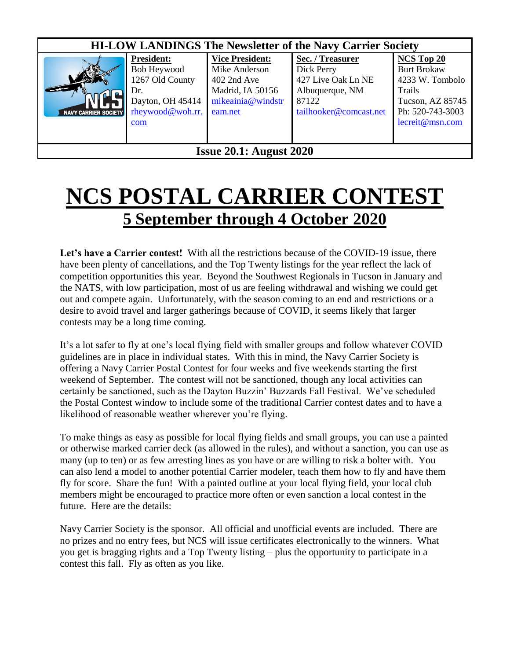| <b>HI-LOW LANDINGS The Newsletter of the Navy Carrier Society</b> |                                                                                                           |                                                                                                            |                                                                                                            |                                                                                                                          |
|-------------------------------------------------------------------|-----------------------------------------------------------------------------------------------------------|------------------------------------------------------------------------------------------------------------|------------------------------------------------------------------------------------------------------------|--------------------------------------------------------------------------------------------------------------------------|
| <b>NAVY CARRIER SOCIETY</b>                                       | <b>President:</b><br>Bob Heywood<br>1267 Old County<br>Dr.<br>Dayton, OH 45414<br>rheywood@woh.rr.<br>com | <b>Vice President:</b><br>Mike Anderson<br>402 2nd Ave<br>Madrid, IA 50156<br>mikeainia@windstr<br>eam.net | Sec. / Treasurer<br>Dick Perry<br>427 Live Oak Ln NE<br>Albuquerque, NM<br>87122<br>tailhooker@comcast.net | NCS Top 20<br><b>Burt Brokaw</b><br>4233 W. Tombolo<br>Trails<br>Tucson, AZ 85745<br>Ph: 520-743-3003<br>lecreit@msn.com |
| <b>Issue 20.1: August 2020</b>                                    |                                                                                                           |                                                                                                            |                                                                                                            |                                                                                                                          |

## **NCS POSTAL CARRIER CONTEST 5 September through 4 October 2020**

Let's have a Carrier contest! With all the restrictions because of the COVID-19 issue, there have been plenty of cancellations, and the Top Twenty listings for the year reflect the lack of competition opportunities this year. Beyond the Southwest Regionals in Tucson in January and the NATS, with low participation, most of us are feeling withdrawal and wishing we could get out and compete again. Unfortunately, with the season coming to an end and restrictions or a desire to avoid travel and larger gatherings because of COVID, it seems likely that larger contests may be a long time coming.

It's a lot safer to fly at one's local flying field with smaller groups and follow whatever COVID guidelines are in place in individual states. With this in mind, the Navy Carrier Society is offering a Navy Carrier Postal Contest for four weeks and five weekends starting the first weekend of September. The contest will not be sanctioned, though any local activities can certainly be sanctioned, such as the Dayton Buzzin' Buzzards Fall Festival. We've scheduled the Postal Contest window to include some of the traditional Carrier contest dates and to have a likelihood of reasonable weather wherever you're flying.

To make things as easy as possible for local flying fields and small groups, you can use a painted or otherwise marked carrier deck (as allowed in the rules), and without a sanction, you can use as many (up to ten) or as few arresting lines as you have or are willing to risk a bolter with. You can also lend a model to another potential Carrier modeler, teach them how to fly and have them fly for score. Share the fun! With a painted outline at your local flying field, your local club members might be encouraged to practice more often or even sanction a local contest in the future. Here are the details:

Navy Carrier Society is the sponsor. All official and unofficial events are included. There are no prizes and no entry fees, but NCS will issue certificates electronically to the winners. What you get is bragging rights and a Top Twenty listing – plus the opportunity to participate in a contest this fall. Fly as often as you like.